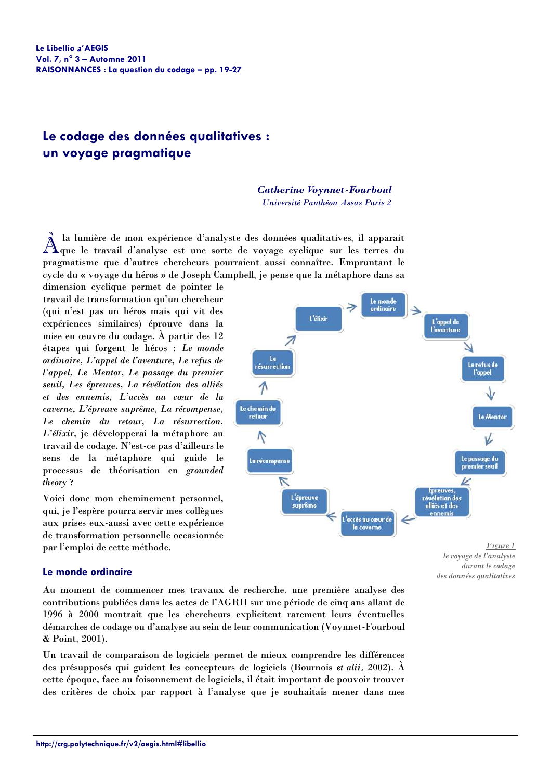# Le codage des données qualitatives : un voyage pragmatique

# **Catherine Voynnet-Fourboul**

Université Panthéon Assas Paris 2

la lumière de mon expérience d'analyste des données qualitatives, il apparait  $\rm A$ que le travail d'analyse est une sorte de voyage cyclique sur les terres du pragmatisme que d'autres chercheurs pourraient aussi connaître. Empruntant le cycle du « voyage du héros » de Joseph Campbell, je pense que la métaphore dans sa

dimension cyclique permet de pointer le travail de transformation qu'un chercheur (qui n'est pas un héros mais qui vit des expériences similaires) éprouve dans la mise en œuvre du codage. À partir des 12 étapes qui forgent le héros : Le monde ordinaire, L'appel de l'aventure, Le refus de l'appel, Le Mentor, Le passage du premier seuil. Les épreuves. La révélation des alliés et des ennemis, L'accès au cœur de la caverne, L'épreuve suprême, La récompense, Le chemin du retour, La résurrection, L'élixir, je développerai la métaphore au travail de codage. N'est-ce pas d'ailleurs le sens de la métaphore qui guide le processus de théorisation en grounded theory?

Voici donc mon cheminement personnel, qui, je l'espère pourra servir mes collègues aux prises eux-aussi avec cette expérience de transformation personnelle occasionnée par l'emploi de cette méthode.



le voyage de l'analyste durant le codage des données qualitatives

# Le monde ordinaire

Au moment de commencer mes travaux de recherche, une première analyse des contributions publiées dans les actes de l'AGRH sur une période de cinq ans allant de 1996 à 2000 montrait que les chercheurs explicitent rarement leurs éventuelles démarches de codage ou d'analyse au sein de leur communication (Voynnet-Fourboul & Point, 2001).

Un travail de comparaison de logiciels permet de mieux comprendre les différences des présupposés qui guident les concepteurs de logiciels (Bournois et alii, 2002). À cette époque, face au foisonnement de logiciels, il était important de pouvoir trouver des critères de choix par rapport à l'analyse que je souhaitais mener dans mes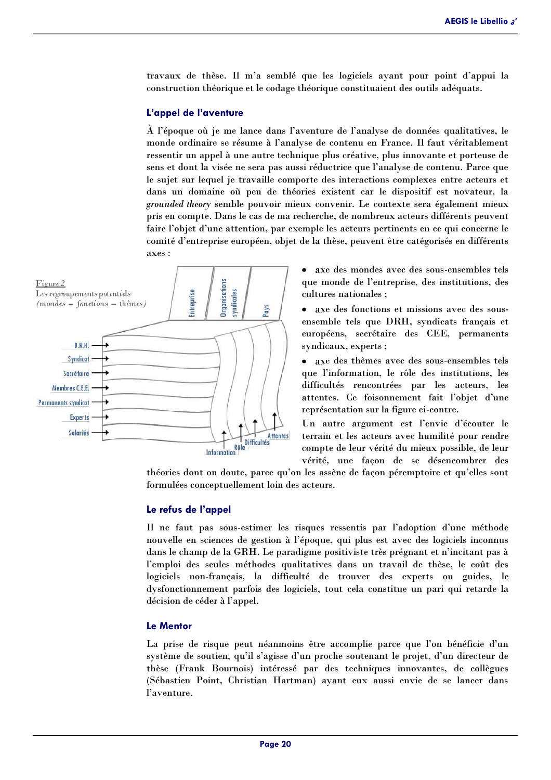travaux de thèse. Il m'a semblé que les logiciels avant pour point d'appui la construction théorique et le codage théorique constituaient des outils adéquats.

#### L'appel de l'aventure

À l'époque où je me lance dans l'aventure de l'analyse de données qualitatives, le monde ordinaire se résume à l'analyse de contenu en France. Il faut véritablement ressentir un appel à une autre technique plus créative, plus innovante et porteuse de sens et dont la visée ne sera pas aussi réductrice que l'analyse de contenu. Parce que le sujet sur lequel je travaille comporte des interactions complexes entre acteurs et dans un domaine où peu de théories existent car le dispositif est novateur, la grounded theory semble pouvoir mieux convenir. Le contexte sera également mieux pris en compte. Dans le cas de ma recherche, de nombreux acteurs différents peuvent faire l'objet d'une attention, par exemple les acteurs pertinents en ce qui concerne le comité d'entreprise européen, objet de la thèse, peuvent être catégorisés en différents axes:



- axe des mondes avec des sous-ensembles tels que monde de l'entreprise, des institutions, des cultures nationales :
- axe des fonctions et missions avec des sousensemble tels que DRH, syndicats français et européens, secrétaire des CEE, permanents syndicaux, experts;

• axe des thèmes avec des sous-ensembles tels que l'information, le rôle des institutions, les difficultés rencontrées par les acteurs, les attentes. Ce foisonnement fait l'objet d'une représentation sur la figure ci-contre.

Un autre argument est l'envie d'écouter le terrain et les acteurs avec humilité pour rendre compte de leur vérité du mieux possible, de leur vérité, une façon de se désencombrer des

théories dont on doute, parce qu'on les assène de façon péremptoire et qu'elles sont formulées conceptuellement loin des acteurs.

# Le refus de l'appel

Il ne faut pas sous-estimer les risques ressentis par l'adoption d'une méthode nouvelle en sciences de gestion à l'époque, qui plus est avec des logiciels inconnus dans le champ de la GRH. Le paradigme positiviste très prégnant et n'incitant pas à l'emploi des seules méthodes qualitatives dans un travail de thèse, le coût des logiciels non-français, la difficulté de trouver des experts ou guides, le dysfonctionnement parfois des logiciels, tout cela constitue un pari qui retarde la décision de céder à l'appel.

# **Le Mentor**

La prise de risque peut néanmoins être accomplie parce que l'on bénéficie d'un système de soutien, qu'il s'agisse d'un proche soutenant le projet, d'un directeur de thèse (Frank Bournois) intéressé par des techniques innovantes, de collègues (Sébastien Point, Christian Hartman) avant eux aussi envie de se lancer dans l'aventure.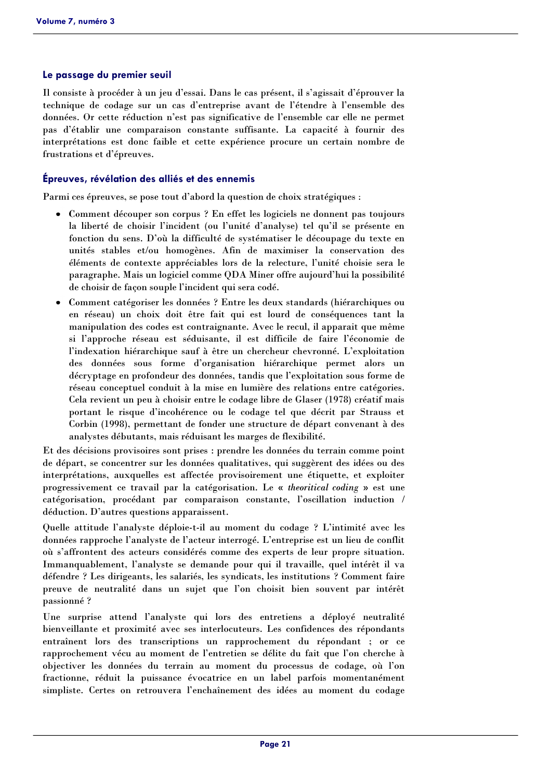# Le passage du premier seuil

Il consiste à procéder à un jeu d'essai. Dans le cas présent, il s'agissait d'éprouver la technique de codage sur un cas d'entreprise avant de l'étendre à l'ensemble des données. Or cette réduction n'est pas significative de l'ensemble car elle ne permet pas d'établir une comparaison constante suffisante. La capacité à fournir des interprétations est donc faible et cette expérience procure un certain nombre de frustrations et d'épreuves.

# Épreuves, révélation des alliés et des ennemis

Parmi ces épreuves, se pose tout d'abord la question de choix stratégiques :

- Comment découper son corpus ? En effet les logiciels ne donnent pas toujours la liberté de choisir l'incident (ou l'unité d'analyse) tel qu'il se présente en fonction du sens. D'où la difficulté de systématiser le découpage du texte en unités stables et/ou homogènes. Afin de maximiser la conservation des éléments de contexte appréciables lors de la relecture, l'unité choisie sera le paragraphe. Mais un logiciel comme ODA Miner offre aujourd'hui la possibilité de choisir de façon souple l'incident qui sera codé.
- Comment catégoriser les données ? Entre les deux standards (hiérarchiques ou en réseau) un choix doit être fait qui est lourd de conséquences tant la manipulation des codes est contraignante. Avec le recul, il apparait que même si l'approche réseau est séduisante, il est difficile de faire l'économie de l'indexation hiérarchique sauf à être un chercheur chevronné. L'exploitation des données sous forme d'organisation hiérarchique permet alors un décryptage en profondeur des données, tandis que l'exploitation sous forme de réseau conceptuel conduit à la mise en lumière des relations entre catégories. Cela revient un peu à choisir entre le codage libre de Glaser (1978) créatif mais portant le risque d'incohérence ou le codage tel que décrit par Strauss et Corbin (1998), permettant de fonder une structure de départ convenant à des analystes débutants, mais réduisant les marges de flexibilité.

Et des décisions provisoires sont prises : prendre les données du terrain comme point de départ, se concentrer sur les données qualitatives, qui suggèrent des idées ou des interprétations, auxquelles est affectée provisoirement une étiquette, et exploiter progressivement ce travail par la catégorisation. Le « theoritical coding » est une catégorisation, procédant par comparaison constante, l'oscillation induction / déduction. D'autres questions apparaissent.

Quelle attitude l'analyste déploie-t-il au moment du codage ? L'intimité avec les données rapproche l'analyste de l'acteur interrogé. L'entreprise est un lieu de conflit où s'affrontent des acteurs considérés comme des experts de leur propre situation. Immanquablement, l'analyste se demande pour qui il travaille, quel intérêt il va défendre ? Les dirigeants, les salariés, les syndicats, les institutions ? Comment faire preuve de neutralité dans un sujet que l'on choisit bien souvent par intérêt passionné?

Une surprise attend l'analyste qui lors des entretiens a déployé neutralité bienveillante et proximité avec ses interlocuteurs. Les confidences des répondants entraînent lors des transcriptions un rapprochement du répondant ; or ce rapprochement vécu au moment de l'entretien se délite du fait que l'on cherche à objectiver les données du terrain au moment du processus de codage, où l'on fractionne, réduit la puissance évocatrice en un label parfois momentanément simpliste. Certes on retrouvera l'enchaînement des idées au moment du codage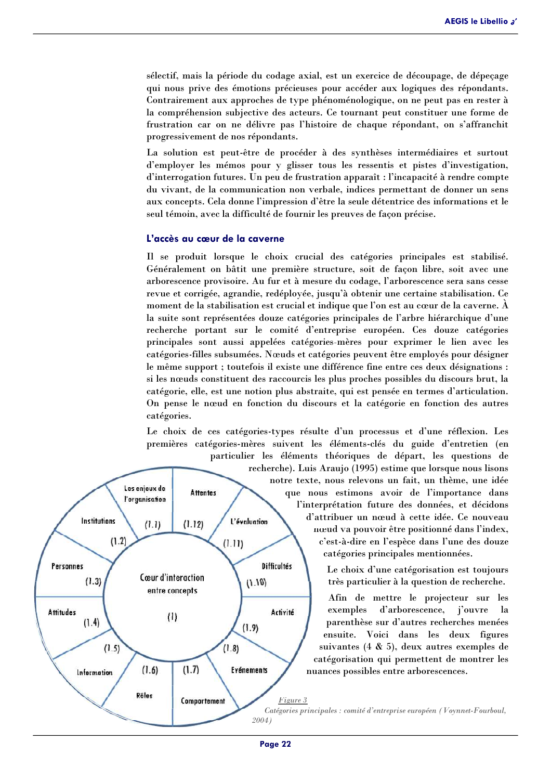sélectif, mais la période du codage axial, est un exercice de découpage, de dépecage qui nous prive des émotions précieuses pour accéder aux logiques des répondants. Contrairement aux approches de type phénoménologique, on ne peut pas en rester à la compréhension subjective des acteurs. Ce tournant peut constituer une forme de frustration car on ne délivre pas l'histoire de chaque répondant, on s'affranchit progressivement de nos répondants.

La solution est peut-être de procéder à des synthèses intermédiaires et surtout d'employer les mémos pour y glisser tous les ressentis et pistes d'investigation, d'interrogation futures. Un peu de frustration apparaît : l'incapacité à rendre compte du vivant, de la communication non verbale, indices permettant de donner un sens aux concepts. Cela donne l'impression d'être la seule détentrice des informations et le seul témoin, avec la difficulté de fournir les preuves de façon précise.

#### L'accès au cœur de la caverne

Il se produit lorsque le choix crucial des catégories principales est stabilisé. Généralement on bâtit une première structure, soit de façon libre, soit avec une arborescence provisoire. Au fur et à mesure du codage, l'arborescence sera sans cesse revue et corrigée, agrandie, redéployée, jusqu'à obtenir une certaine stabilisation. Ce moment de la stabilisation est crucial et indique que l'on est au cœur de la caverne. À la suite sont représentées douze catégories principales de l'arbre hiérarchique d'une recherche portant sur le comité d'entreprise européen. Ces douze catégories principales sont aussi appelées catégories-mères pour exprimer le lien avec les catégories-filles subsumées. Nœuds et catégories peuvent être employés pour désigner le même support ; toutefois il existe une différence fine entre ces deux désignations : si les nœuds constituent des raccourcis les plus proches possibles du discours brut, la catégorie, elle, est une notion plus abstraite, qui est pensée en termes d'articulation. On pense le nœud en fonction du discours et la catégorie en fonction des autres catégories.

Le choix de ces catégories-types résulte d'un processus et d'une réflexion. Les premières catégories-mères suivent les éléments-clés du guide d'entretien (en



recherche). Luis Araujo (1995) estime que lorsque nous lisons notre texte, nous relevons un fait, un thème, une idée que nous estimons avoir de l'importance dans l'interprétation future des données, et décidons d'attribuer un nœud à cette idée. Ce nouveau nœud va pouvoir être positionné dans l'index, c'est-à-dire en l'espèce dans l'une des douze catégories principales mentionnées.

> Le choix d'une catégorisation est toujours très particulier à la question de recherche.

Afin de mettre le projecteur sur les exemples d'arborescence, j'ouvre la parenthèse sur d'autres recherches menées ensuite. Voici dans les deux figures suivantes (4  $\&$  5), deux autres exemples de catégorisation qui permettent de montrer les nuances possibles entre arborescences.

Catégories principales : comité d'entreprise européen (Voynnet-Fourboul,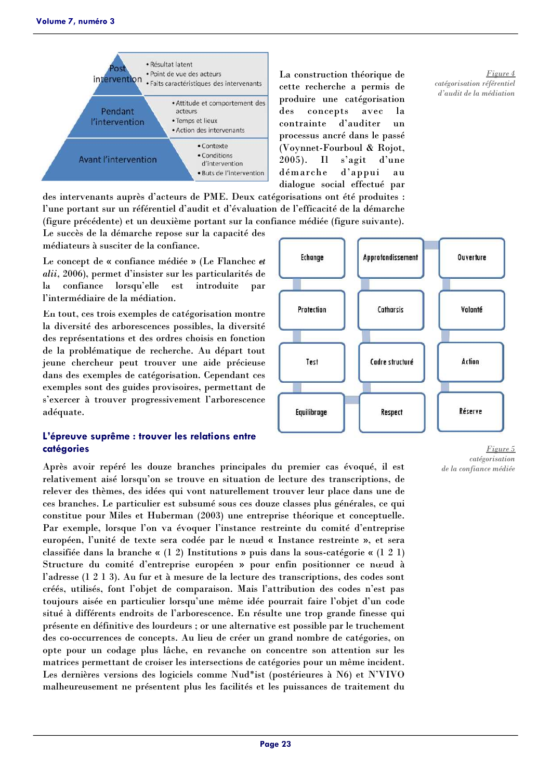

La construction théorique de cette recherche a permis de produire une catégorisation  $\mathbf{des}$ concepts avec 1a contrainte d'auditer  $\mathbf{u}$ processus ancré dans le passé (Voynnet-Fourboul & Rojot,  $2005$ ). Il s'agit d'une démarche d'appui **a** 11 dialogue social effectué par

des intervenants auprès d'acteurs de PME. Deux catégorisations ont été produites : l'une portant sur un référentiel d'audit et d'évaluation de l'efficacité de la démarche (figure précédente) et un deuxième portant sur la confiance médiée (figure suivante).

Le succès de la démarche repose sur la capacité des médiateurs à susciter de la confiance.

Le concept de « confiance médiée » (Le Flanchec et alii, 2006), permet d'insister sur les particularités de  $l$ a confiance lorsqu'elle est introduite par l'intermédiaire de la médiation.

En tout, ces trois exemples de catégorisation montre la diversité des arborescences possibles, la diversité des représentations et des ordres choisis en fonction de la problématique de recherche. Au départ tout jeune chercheur peut trouver une aide précieuse dans des exemples de catégorisation. Cependant ces exemples sont des guides provisoires, permettant de s'exercer à trouver progressivement l'arborescence adéquate.

# L'épreuve suprême : trouver les relations entre catégories

Après avoir repéré les douze branches principales du premier cas évoqué, il est relativement aisé lorsqu'on se trouve en situation de lecture des transcriptions, de relever des thèmes, des idées qui vont naturellement trouver leur place dans une de ces branches. Le particulier est subsumé sous ces douze classes plus générales, ce qui constitue pour Miles et Huberman (2003) une entreprise théorique et conceptuelle. Par exemple, lorsque l'on va évoquer l'instance restreinte du comité d'entreprise européen, l'unité de texte sera codée par le nœud « Instance restreinte », et sera classifiée dans la branche «  $(1\ 2)$  Institutions » puis dans la sous-catégorie «  $(1\ 2\ 1)$ Structure du comité d'entreprise européen » pour enfin positionner ce nœud à l'adresse (1 2 1 3). Au fur et à mesure de la lecture des transcriptions, des codes sont créés, utilisés, font l'objet de comparaison. Mais l'attribution des codes n'est pas toujours aisée en particulier lorsqu'une même idée pourrait faire l'objet d'un code situé à différents endroits de l'arborescence. En résulte une trop grande finesse qui présente en définitive des lourdeurs ; or une alternative est possible par le truchement des co-occurrences de concepts. Au lieu de créer un grand nombre de catégories, on opte pour un codage plus lâche, en revanche on concentre son attention sur les matrices permettant de croiser les intersections de catégories pour un même incident. Les dernières versions des logiciels comme Nud\*ist (postérieures à N6) et N'VIVO malheureusement ne présentent plus les facilités et les puissances de traitement du



Figure 5 catégorisation de la confiance médiée

Figure 4 catégorisation référentiel d'audit de la médiation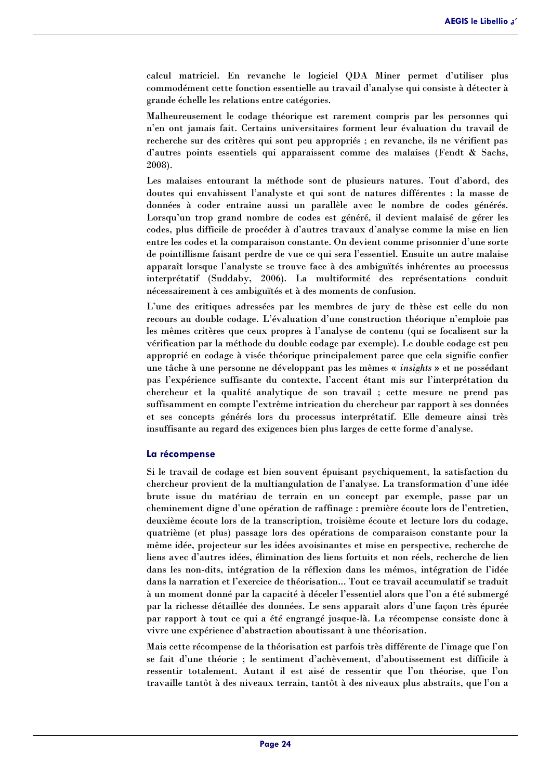calcul matriciel. En revanche le logiciel QDA Miner permet d'utiliser plus commodément cette fonction essentielle au travail d'analyse qui consiste à détecter à grande échelle les relations entre catégories.

Malheureusement le codage théorique est rarement compris par les personnes qui n'en ont jamais fait. Certains universitaires forment leur évaluation du travail de recherche sur des critères qui sont peu appropriés ; en revanche, ils ne vérifient pas d'autres points essentiels qui apparaissent comme des malaises (Fendt  $\&$  Sachs, 2008).

Les malaises entourant la méthode sont de plusieurs natures. Tout d'abord, des doutes qui envahissent l'analyste et qui sont de natures différentes : la masse de données à coder entraîne aussi un parallèle avec le nombre de codes générés. Lorsqu'un trop grand nombre de codes est généré, il devient malaisé de gérer les codes, plus difficile de procéder à d'autres travaux d'analyse comme la mise en lien entre les codes et la comparaison constante. On devient comme prisonnier d'une sorte de pointillisme faisant perdre de vue ce qui sera l'essentiel. Ensuite un autre malaise apparaît lorsque l'analyste se trouve face à des ambiguïtés inhérentes au processus interprétatif (Suddaby, 2006). La multiformité des représentations conduit nécessairement à ces ambiguïtés et à des moments de confusion.

L'une des critiques adressées par les membres de jury de thèse est celle du non recours au double codage. L'évaluation d'une construction théorique n'emploie pas les mêmes critères que ceux propres à l'analyse de contenu (qui se focalisent sur la vérification par la méthode du double codage par exemple). Le double codage est peu approprié en codage à visée théorique principalement parce que cela signifie confier une tâche à une personne ne développant pas les mêmes « *insights* » et ne possédant pas l'expérience suffisante du contexte, l'accent étant mis sur l'interprétation du chercheur et la qualité analytique de son travail ; cette mesure ne prend pas suffisamment en compte l'extrême intrication du chercheur par rapport à ses données et ses concepts générés lors du processus interprétatif. Elle demeure ainsi très insuffisante au regard des exigences bien plus larges de cette forme d'analyse.

#### La récompense

Si le travail de codage est bien souvent épuisant psychiquement, la satisfaction du chercheur provient de la multiangulation de l'analyse. La transformation d'une idée brute issue du matériau de terrain en un concept par exemple, passe par un cheminement digne d'une opération de raffinage : première écoute lors de l'entretien, deuxième écoute lors de la transcription, troisième écoute et lecture lors du codage, quatrième (et plus) passage lors des opérations de comparaison constante pour la même idée, projecteur sur les idées avoisinantes et mise en perspective, recherche de liens avec d'autres idées, élimination des liens fortuits et non réels, recherche de lien dans les non-dits, intégration de la réflexion dans les mémos, intégration de l'idée dans la narration et l'exercice de théorisation... Tout ce travail accumulatif se traduit à un moment donné par la capacité à déceler l'essentiel alors que l'on a été submergé par la richesse détaillée des données. Le sens apparaît alors d'une façon très épurée par rapport à tout ce qui a été engrangé jusque-là. La récompense consiste donc à vivre une expérience d'abstraction aboutissant à une théorisation.

Mais cette récompense de la théorisation est parfois très différente de l'image que l'on se fait d'une théorie ; le sentiment d'achèvement, d'aboutissement est difficile à ressentir totalement. Autant il est aisé de ressentir que l'on théorise, que l'on travaille tantôt à des niveaux terrain, tantôt à des niveaux plus abstraits, que l'on a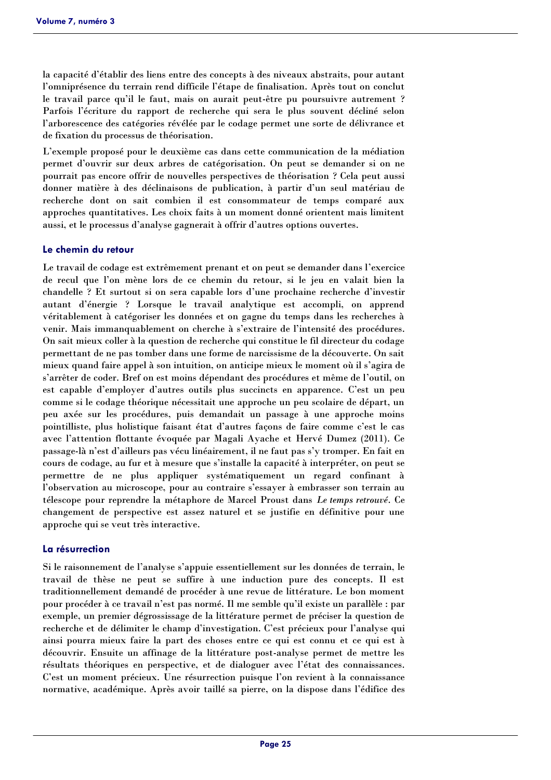la capacité d'établir des liens entre des concepts à des niveaux abstraits, pour autant l'omniprésence du terrain rend difficile l'étape de finalisation. Après tout on conclut le travail parce qu'il le faut, mais on aurait peut-être pu poursuivre autrement ? Parfois l'écriture du rapport de recherche qui sera le plus souvent décliné selon l'arborescence des catégories révélée par le codage permet une sorte de délivrance et de fixation du processus de théorisation.

L'exemple proposé pour le deuxième cas dans cette communication de la médiation permet d'ouvrir sur deux arbres de catégorisation. On peut se demander si on ne pourrait pas encore offrir de nouvelles perspectives de théorisation ? Cela peut aussi donner matière à des déclinaisons de publication, à partir d'un seul matériau de recherche dont on sait combien il est consommateur de temps comparé aux approches quantitatives. Les choix faits à un moment donné orientent mais limitent aussi, et le processus d'analyse gagnerait à offrir d'autres options ouvertes.

# Le chemin du retour

Le travail de codage est extrêmement prenant et on peut se demander dans l'exercice de recul que l'on mène lors de ce chemin du retour, si le jeu en valait bien la chandelle? Et surtout si on sera capable lors d'une prochaine recherche d'investir autant d'énergie ? Lorsque le travail analytique est accompli, on apprend véritablement à catégoriser les données et on gagne du temps dans les recherches à venir. Mais immanquablement on cherche à s'extraire de l'intensité des procédures. On sait mieux coller à la question de recherche qui constitue le fil directeur du codage permettant de ne pas tomber dans une forme de narcissisme de la découverte. On sait mieux quand faire appel à son intuition, on anticipe mieux le moment où il s'agira de s'arrêter de coder. Bref on est moins dépendant des procédures et même de l'outil, on est capable d'employer d'autres outils plus succincts en apparence. C'est un peu comme si le codage théorique nécessitait une approche un peu scolaire de départ, un peu axée sur les procédures, puis demandait un passage à une approche moins pointilliste, plus holistique faisant état d'autres façons de faire comme c'est le cas avec l'attention flottante évoquée par Magali Ayache et Hervé Dumez (2011). Ce passage-là n'est d'ailleurs pas vécu linéairement, il ne faut pas s'y tromper. En fait en cours de codage, au fur et à mesure que s'installe la capacité à interpréter, on peut se permettre de ne plus appliquer systématiquement un regard confinant à l'observation au microscope, pour au contraire s'essayer à embrasser son terrain au télescope pour reprendre la métaphore de Marcel Proust dans Le temps retrouvé. Ce changement de perspective est assez naturel et se justifie en définitive pour une approche qui se veut très interactive.

#### La résurrection

Si le raisonnement de l'analyse s'appuie essentiellement sur les données de terrain, le travail de thèse ne peut se suffire à une induction pure des concepts. Il est traditionnellement demandé de procéder à une revue de littérature. Le bon moment pour procéder à ce travail n'est pas normé. Il me semble qu'il existe un parallèle : par exemple, un premier dégrossissage de la littérature permet de préciser la question de recherche et de délimiter le champ d'investigation. C'est précieux pour l'analyse qui ainsi pourra mieux faire la part des choses entre ce qui est connu et ce qui est à découvrir. Ensuite un affinage de la littérature post-analyse permet de mettre les résultats théoriques en perspective, et de dialoguer avec l'état des connaissances. C'est un moment précieux. Une résurrection puisque l'on revient à la connaissance normative, académique. Après avoir taillé sa pierre, on la dispose dans l'édifice des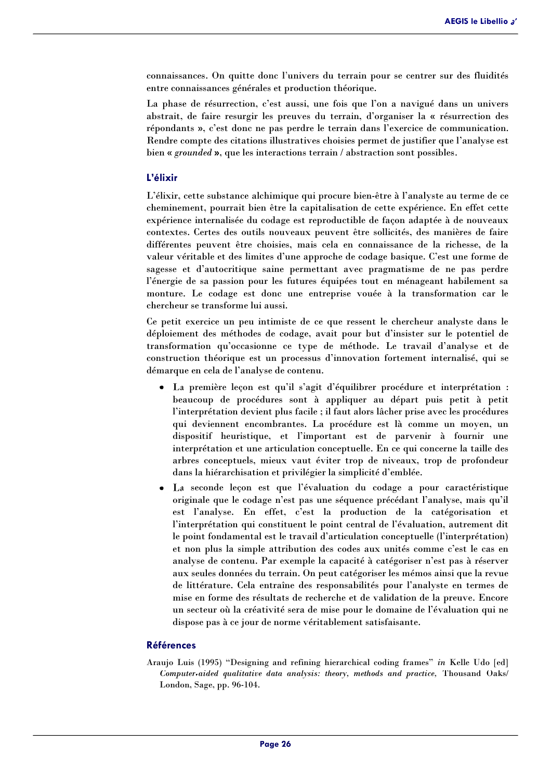connaissances. On quitte donc l'univers du terrain pour se centrer sur des fluidités entre connaissances générales et production théorique.

La phase de résurrection, c'est aussi, une fois que l'on a navigué dans un univers abstrait, de faire resurgir les preuves du terrain, d'organiser la « résurrection des répondants », c'est donc ne pas perdre le terrain dans l'exercice de communication. Rendre compte des citations illustratives choisies permet de justifier que l'analyse est bien « grounded », que les interactions terrain / abstraction sont possibles.

# L'élixir

L'élixir, cette substance alchimique qui procure bien-être à l'analyste au terme de ce cheminement, pourrait bien être la capitalisation de cette expérience. En effet cette expérience internalisée du codage est reproductible de façon adaptée à de nouveaux contextes. Certes des outils nouveaux peuvent être sollicités, des manières de faire différentes peuvent être choisies, mais cela en connaissance de la richesse, de la valeur véritable et des limites d'une approche de codage basique. C'est une forme de sagesse et d'autocritique saine permettant avec pragmatisme de ne pas perdre l'énergie de sa passion pour les futures équipées tout en ménageant habilement sa monture. Le codage est donc une entreprise vouée à la transformation car le chercheur se transforme lui aussi.

Ce petit exercice un peu intimiste de ce que ressent le chercheur analyste dans le déploiement des méthodes de codage, avait pour but d'insister sur le potentiel de transformation qu'occasionne ce type de méthode. Le travail d'analyse et de construction théorique est un processus d'innovation fortement internalisé, qui se démarque en cela de l'analyse de contenu.

- La première leçon est qu'il s'agit d'équilibrer procédure et interprétation : beaucoup de procédures sont à appliquer au départ puis petit à petit l'interprétation devient plus facile ; il faut alors lâcher prise avec les procédures qui deviennent encombrantes. La procédure est là comme un moyen, un dispositif heuristique, et l'important est de parvenir à fournir une interprétation et une articulation conceptuelle. En ce qui concerne la taille des arbres conceptuels, mieux vaut éviter trop de niveaux, trop de profondeur dans la hiérarchisation et privilégier la simplicité d'emblée.
- La seconde leçon est que l'évaluation du codage a pour caractéristique originale que le codage n'est pas une séquence précédant l'analyse, mais qu'il est l'analyse. En effet, c'est la production de la catégorisation et l'interprétation qui constituent le point central de l'évaluation, autrement dit le point fondamental est le travail d'articulation conceptuelle (l'interprétation) et non plus la simple attribution des codes aux unités comme c'est le cas en analyse de contenu. Par exemple la capacité à catégoriser n'est pas à réserver aux seules données du terrain. On peut catégoriser les mémos ainsi que la revue de littérature. Cela entraîne des responsabilités pour l'analyste en termes de mise en forme des résultats de recherche et de validation de la preuve. Encore un secteur où la créativité sera de mise pour le domaine de l'évaluation qui ne dispose pas à ce jour de norme véritablement satisfaisante.

# **Références**

Araujo Luis (1995) "Designing and refining hierarchical coding frames" in Kelle Udo [ed] Computer-aided qualitative data analysis: theory, methods and practice, Thousand Oaks/ London, Sage, pp. 96-104.